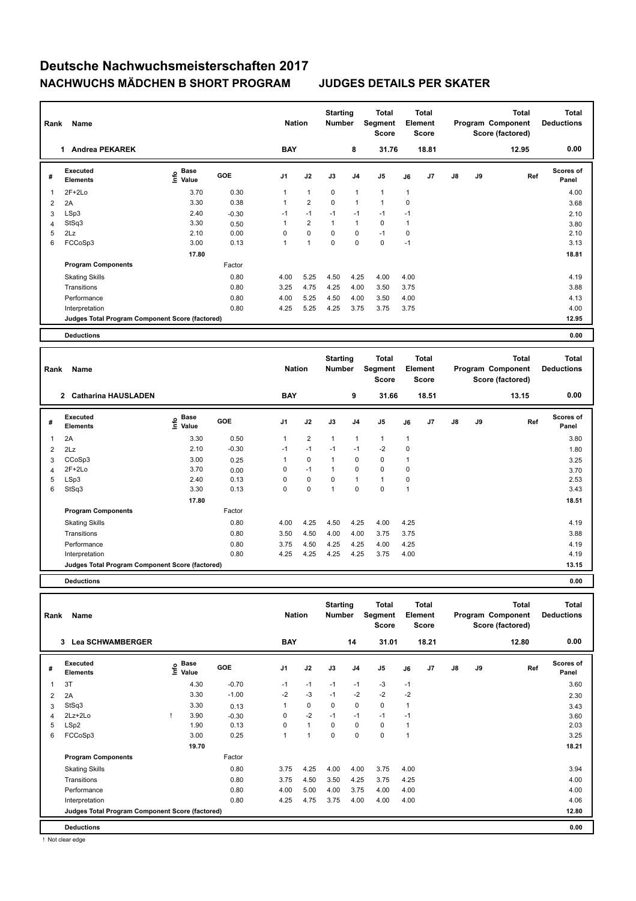| Rank | Name                                            |                                    | <b>Nation</b> |                | <b>Starting</b><br>Number |             | Total<br>Segment<br><b>Score</b> |                | <b>Total</b><br>Element<br><b>Score</b> |       |               | <b>Total</b><br>Program Component<br>Score (factored) | Total<br><b>Deductions</b> |                           |
|------|-------------------------------------------------|------------------------------------|---------------|----------------|---------------------------|-------------|----------------------------------|----------------|-----------------------------------------|-------|---------------|-------------------------------------------------------|----------------------------|---------------------------|
|      | <b>Andrea PEKAREK</b><br>1.                     |                                    |               | <b>BAY</b>     |                           |             | 8                                | 31.76          |                                         | 18.81 |               |                                                       | 12.95                      | 0.00                      |
| #    | Executed<br><b>Elements</b>                     | <b>Base</b><br>$\frac{6}{5}$ Value | <b>GOE</b>    | J <sub>1</sub> | J2                        | J3          | J <sub>4</sub>                   | J <sub>5</sub> | J6                                      | J7    | $\mathsf{J}8$ | J9                                                    | Ref                        | <b>Scores of</b><br>Panel |
|      | $2F+2Lo$                                        | 3.70                               | 0.30          |                | $\mathbf{1}$              | $\mathbf 0$ | $\overline{1}$                   | $\mathbf{1}$   | $\mathbf{1}$                            |       |               |                                                       |                            | 4.00                      |
| 2    | 2A                                              | 3.30                               | 0.38          |                | $\overline{2}$            | $\mathbf 0$ | $\overline{1}$                   | 1              | 0                                       |       |               |                                                       |                            | 3.68                      |
| 3    | LSp3                                            | 2.40                               | $-0.30$       | $-1$           | $-1$                      | $-1$        | $-1$                             | $-1$           | $-1$                                    |       |               |                                                       |                            | 2.10                      |
| 4    | StSq3                                           | 3.30                               | 0.50          |                | $\overline{2}$            | 1           | $\overline{1}$                   | 0              | 1                                       |       |               |                                                       |                            | 3.80                      |
| 5    | 2Lz                                             | 2.10                               | 0.00          | 0              | $\mathbf 0$               | $\mathbf 0$ | $\mathbf 0$                      | $-1$           | 0                                       |       |               |                                                       |                            | 2.10                      |
| 6    | FCCoSp3                                         | 3.00                               | 0.13          | 1              | 1                         | $\Omega$    | $\mathbf 0$                      | $\mathbf 0$    | $-1$                                    |       |               |                                                       |                            | 3.13                      |
|      |                                                 | 17.80                              |               |                |                           |             |                                  |                |                                         |       |               |                                                       |                            | 18.81                     |
|      | <b>Program Components</b>                       |                                    | Factor        |                |                           |             |                                  |                |                                         |       |               |                                                       |                            |                           |
|      | <b>Skating Skills</b>                           |                                    | 0.80          | 4.00           | 5.25                      | 4.50        | 4.25                             | 4.00           | 4.00                                    |       |               |                                                       |                            | 4.19                      |
|      | Transitions                                     |                                    | 0.80          | 3.25           | 4.75                      | 4.25        | 4.00                             | 3.50           | 3.75                                    |       |               |                                                       |                            | 3.88                      |
|      | Performance                                     |                                    | 0.80          | 4.00           | 5.25                      | 4.50        | 4.00                             | 3.50           | 4.00                                    |       |               |                                                       |                            | 4.13                      |
|      | Interpretation                                  |                                    | 0.80          | 4.25           | 5.25                      | 4.25        | 3.75                             | 3.75           | 3.75                                    |       |               |                                                       |                            | 4.00                      |
|      | Judges Total Program Component Score (factored) |                                    |               |                |                           |             |                                  |                |                                         |       |               |                                                       |                            | 12.95                     |
|      | <b>Deductions</b>                               |                                    |               |                |                           |             |                                  |                |                                         |       |               |                                                       |                            | 0.00                      |

| Rank | Name                                            |                           |            | <b>Nation</b> |                | <b>Starting</b><br><b>Number</b> |                | <b>Total</b><br>Segment<br><b>Score</b> |      | Total<br>Element<br><b>Score</b> |               |    | <b>Total</b><br>Program Component<br>Score (factored) | <b>Total</b><br><b>Deductions</b> |
|------|-------------------------------------------------|---------------------------|------------|---------------|----------------|----------------------------------|----------------|-----------------------------------------|------|----------------------------------|---------------|----|-------------------------------------------------------|-----------------------------------|
|      | <b>Catharina HAUSLADEN</b><br>$\overline{2}$    |                           |            | <b>BAY</b>    |                |                                  | 9              | 31.66                                   |      | 18.51                            |               |    | 13.15                                                 | 0.00                              |
| #    | Executed<br><b>Elements</b>                     | Base<br>o Base<br>E Value | <b>GOE</b> | J1            | J2             | J3                               | J <sub>4</sub> | J5                                      | J6   | J7                               | $\mathsf{J}8$ | J9 | Ref                                                   | <b>Scores of</b><br>Panel         |
| 1    | 2A                                              | 3.30                      | 0.50       | 1             | $\overline{2}$ | $\mathbf{1}$                     | 1              | $\mathbf{1}$                            | 1    |                                  |               |    |                                                       | 3.80                              |
| 2    | 2Lz                                             | 2.10                      | $-0.30$    | $-1$          | $-1$           | $-1$                             | $-1$           | $-2$                                    | 0    |                                  |               |    |                                                       | 1.80                              |
| 3    | CCoSp3                                          | 3.00                      | 0.25       | 1             | 0              | $\mathbf{1}$                     | 0              | 0                                       | 1    |                                  |               |    |                                                       | 3.25                              |
| 4    | $2F+2Lo$                                        | 3.70                      | 0.00       | 0             | $-1$           | $\mathbf{1}$                     | 0              | 0                                       | 0    |                                  |               |    |                                                       | 3.70                              |
| 5    | LSp3                                            | 2.40                      | 0.13       | $\Omega$      | $\mathbf 0$    | $\Omega$                         | $\overline{1}$ | $\mathbf{1}$                            | 0    |                                  |               |    |                                                       | 2.53                              |
| 6    | StSq3                                           | 3.30                      | 0.13       | 0             | 0              | $\mathbf{1}$                     | $\Omega$       | $\mathbf 0$                             | 1    |                                  |               |    |                                                       | 3.43                              |
|      |                                                 | 17.80                     |            |               |                |                                  |                |                                         |      |                                  |               |    |                                                       | 18.51                             |
|      | <b>Program Components</b>                       |                           | Factor     |               |                |                                  |                |                                         |      |                                  |               |    |                                                       |                                   |
|      | <b>Skating Skills</b>                           |                           | 0.80       | 4.00          | 4.25           | 4.50                             | 4.25           | 4.00                                    | 4.25 |                                  |               |    |                                                       | 4.19                              |
|      | Transitions                                     |                           | 0.80       | 3.50          | 4.50           | 4.00                             | 4.00           | 3.75                                    | 3.75 |                                  |               |    |                                                       | 3.88                              |
|      | Performance                                     |                           | 0.80       | 3.75          | 4.50           | 4.25                             | 4.25           | 4.00                                    | 4.25 |                                  |               |    |                                                       | 4.19                              |
|      | Interpretation                                  |                           | 0.80       | 4.25          | 4.25           | 4.25                             | 4.25           | 3.75                                    | 4.00 |                                  |               |    |                                                       | 4.19                              |
|      | Judges Total Program Component Score (factored) |                           |            |               |                |                                  |                |                                         |      |                                  |               |    |                                                       | 13.15                             |
|      |                                                 |                           |            |               |                |                                  |                |                                         |      |                                  |               |    |                                                       |                                   |

**Deductions 0.00**

|   | Name<br>Rank<br><b>Lea SCHWAMBERGER</b><br>3    |  |                   |            | <b>Nation</b>  |              | <b>Starting</b><br><b>Number</b> |                | Total<br>Segment<br><b>Score</b> |                | <b>Total</b><br>Element<br><b>Score</b> |               |    | <b>Total</b><br>Program Component<br>Score (factored) | Total<br><b>Deductions</b> |
|---|-------------------------------------------------|--|-------------------|------------|----------------|--------------|----------------------------------|----------------|----------------------------------|----------------|-----------------------------------------|---------------|----|-------------------------------------------------------|----------------------------|
|   |                                                 |  |                   |            | <b>BAY</b>     |              |                                  | 14             | 31.01                            |                | 18.21                                   |               |    | 12.80                                                 | 0.00                       |
| # | Executed<br><b>Elements</b>                     |  | e Base<br>E Value | <b>GOE</b> | J <sub>1</sub> | J2           | J3                               | J <sub>4</sub> | J <sub>5</sub>                   | J6             | J <sub>7</sub>                          | $\mathsf{J}8$ | J9 | Ref                                                   | <b>Scores of</b><br>Panel  |
| 1 | 3T                                              |  | 4.30              | $-0.70$    | $-1$           | $-1$         | $-1$                             | $-1$           | $-3$                             | $-1$           |                                         |               |    |                                                       | 3.60                       |
| 2 | 2A                                              |  | 3.30              | $-1.00$    | $-2$           | $-3$         | $-1$                             | $-2$           | $-2$                             | $-2$           |                                         |               |    |                                                       | 2.30                       |
| 3 | StSq3                                           |  | 3.30              | 0.13       | 1              | $\mathbf 0$  | $\Omega$                         | $\mathbf 0$    | $\mathbf 0$                      | $\overline{1}$ |                                         |               |    |                                                       | 3.43                       |
| 4 | 2Lz+2Lo                                         |  | 3.90              | $-0.30$    | 0              | $-2$         | $-1$                             | $-1$           | $-1$                             | $-1$           |                                         |               |    |                                                       | 3.60                       |
| 5 | LSp2                                            |  | 1.90              | 0.13       | 0              | $\mathbf{1}$ | 0                                | 0              | $\mathbf 0$                      | $\overline{1}$ |                                         |               |    |                                                       | 2.03                       |
| 6 | FCCoSp3                                         |  | 3.00              | 0.25       | 4              | 1            | $\Omega$                         | 0              | $\mathbf 0$                      | $\overline{1}$ |                                         |               |    |                                                       | 3.25                       |
|   |                                                 |  | 19.70             |            |                |              |                                  |                |                                  |                |                                         |               |    |                                                       | 18.21                      |
|   | <b>Program Components</b>                       |  |                   | Factor     |                |              |                                  |                |                                  |                |                                         |               |    |                                                       |                            |
|   | <b>Skating Skills</b>                           |  |                   | 0.80       | 3.75           | 4.25         | 4.00                             | 4.00           | 3.75                             | 4.00           |                                         |               |    |                                                       | 3.94                       |
|   | Transitions                                     |  |                   | 0.80       | 3.75           | 4.50         | 3.50                             | 4.25           | 3.75                             | 4.25           |                                         |               |    |                                                       | 4.00                       |
|   | Performance                                     |  |                   | 0.80       | 4.00           | 5.00         | 4.00                             | 3.75           | 4.00                             | 4.00           |                                         |               |    |                                                       | 4.00                       |
|   | Interpretation                                  |  |                   | 0.80       | 4.25           | 4.75         | 3.75                             | 4.00           | 4.00                             | 4.00           |                                         |               |    |                                                       | 4.06                       |
|   | Judges Total Program Component Score (factored) |  |                   |            |                |              |                                  |                |                                  |                |                                         |               |    |                                                       | 12.80                      |
|   | <b>Deductions</b>                               |  |                   |            |                |              |                                  |                |                                  |                |                                         |               |    |                                                       | 0.00                       |

! Not clear edge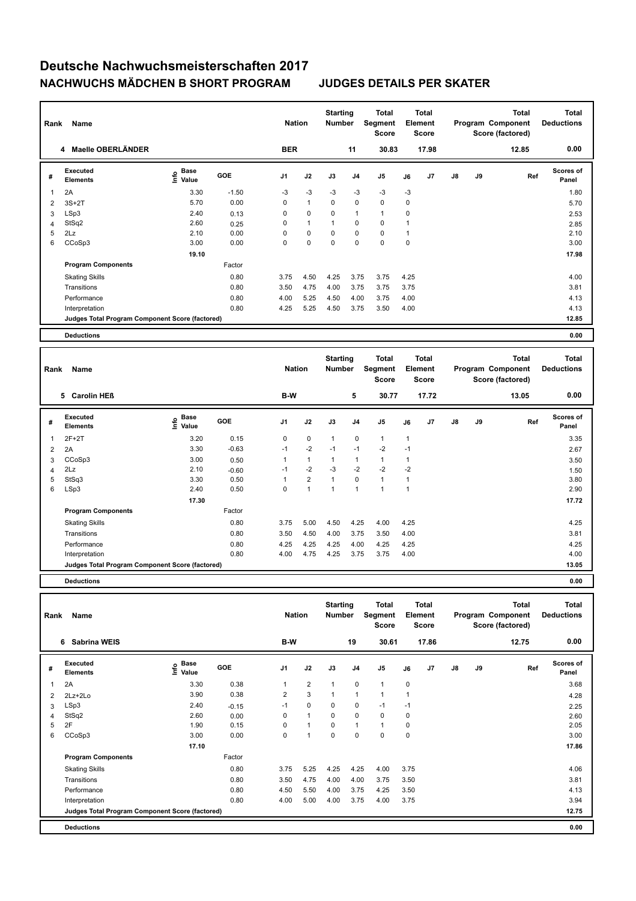| Rank | <b>Name</b><br>4 Maelle OBERLÄNDER              |                                  |            |                | <b>Nation</b> | <b>Starting</b><br>Number |                | <b>Total</b><br>Segment<br>Score | Element      | <b>Total</b><br><b>Score</b> |               |    | <b>Total</b><br>Program Component<br>Score (factored) | <b>Total</b><br><b>Deductions</b> |
|------|-------------------------------------------------|----------------------------------|------------|----------------|---------------|---------------------------|----------------|----------------------------------|--------------|------------------------------|---------------|----|-------------------------------------------------------|-----------------------------------|
|      |                                                 |                                  |            | <b>BER</b>     |               |                           | 11             | 30.83                            |              | 17.98                        |               |    | 12.85                                                 | 0.00                              |
| #    | Executed<br><b>Elements</b>                     | <b>Base</b><br>e Base<br>E Value | <b>GOE</b> | J <sub>1</sub> | J2            | J3                        | J4             | J <sub>5</sub>                   | J6           | J7                           | $\mathsf{J}8$ | J9 | Ref                                                   | <b>Scores of</b><br>Panel         |
| 1    | 2A                                              | 3.30                             | $-1.50$    | $-3$           | $-3$          | $-3$                      | $-3$           | $-3$                             | $-3$         |                              |               |    |                                                       | 1.80                              |
| 2    | $3S+2T$                                         | 5.70                             | 0.00       | $\mathbf 0$    | $\mathbf{1}$  | $\mathbf 0$               | 0              | $\mathbf 0$                      | $\mathbf 0$  |                              |               |    |                                                       | 5.70                              |
| 3    | LSp3                                            | 2.40                             | 0.13       | 0              | $\mathbf 0$   | 0                         | $\overline{1}$ | $\mathbf{1}$                     | 0            |                              |               |    |                                                       | 2.53                              |
| 4    | StSq2                                           | 2.60                             | 0.25       | 0              | $\mathbf{1}$  | $\overline{1}$            | 0              | $\mathbf 0$                      | $\mathbf 1$  |                              |               |    |                                                       | 2.85                              |
| 5    | 2Lz                                             | 2.10                             | 0.00       | 0              | $\mathbf 0$   | $\mathbf 0$               | $\mathbf 0$    | $\mathbf 0$                      | $\mathbf{1}$ |                              |               |    |                                                       | 2.10                              |
| 6    | CCoSp3                                          | 3.00                             | 0.00       | 0              | $\mathbf 0$   | $\Omega$                  | $\mathbf 0$    | $\mathbf 0$                      | $\mathbf 0$  |                              |               |    |                                                       | 3.00                              |
|      |                                                 | 19.10                            |            |                |               |                           |                |                                  |              |                              |               |    |                                                       | 17.98                             |
|      | <b>Program Components</b>                       |                                  | Factor     |                |               |                           |                |                                  |              |                              |               |    |                                                       |                                   |
|      | <b>Skating Skills</b>                           |                                  | 0.80       | 3.75           | 4.50          | 4.25                      | 3.75           | 3.75                             | 4.25         |                              |               |    |                                                       | 4.00                              |
|      | Transitions                                     |                                  | 0.80       | 3.50           | 4.75          | 4.00                      | 3.75           | 3.75                             | 3.75         |                              |               |    |                                                       | 3.81                              |
|      | Performance                                     |                                  | 0.80       | 4.00           | 5.25          | 4.50                      | 4.00           | 3.75                             | 4.00         |                              |               |    |                                                       | 4.13                              |
|      | Interpretation                                  |                                  | 0.80       | 4.25           | 5.25          | 4.50                      | 3.75           | 3.50                             | 4.00         |                              |               |    |                                                       | 4.13                              |
|      | Judges Total Program Component Score (factored) |                                  |            |                |               |                           |                |                                  |              |                              |               |    |                                                       | 12.85                             |
|      | <b>Deductions</b>                               |                                  |            |                |               |                           |                |                                  |              |                              |               |    |                                                       | 0.00                              |

| Rank | Name                                            |                           | <b>Nation</b> |      | <b>Starting</b><br>Number |                | <b>Total</b><br>Segment<br><b>Score</b> |                | Total<br>Element<br><b>Score</b> |                |               | <b>Total</b><br>Program Component<br>Score (factored) | <b>Total</b><br><b>Deductions</b> |                           |
|------|-------------------------------------------------|---------------------------|---------------|------|---------------------------|----------------|-----------------------------------------|----------------|----------------------------------|----------------|---------------|-------------------------------------------------------|-----------------------------------|---------------------------|
|      | <b>Carolin HEß</b><br>5                         |                           |               | B-W  |                           |                | 5                                       | 30.77          |                                  | 17.72          |               |                                                       | 13.05                             | 0.00                      |
| #    | Executed<br><b>Elements</b>                     | Base<br>e Base<br>E Value | <b>GOE</b>    | J1   | J2                        | J3             | J <sub>4</sub>                          | J <sub>5</sub> | J6                               | J <sub>7</sub> | $\mathsf{J}8$ | J9                                                    | Ref                               | <b>Scores of</b><br>Panel |
| 1    | $2F+2T$                                         | 3.20                      | 0.15          | 0    | $\mathbf 0$               | $\mathbf{1}$   | 0                                       | $\mathbf{1}$   | 1                                |                |               |                                                       |                                   | 3.35                      |
| 2    | 2A                                              | 3.30                      | $-0.63$       | $-1$ | $-2$                      | $-1$           | $-1$                                    | $-2$           | $-1$                             |                |               |                                                       |                                   | 2.67                      |
| 3    | CCoSp3                                          | 3.00                      | 0.50          |      | $\mathbf{1}$              | $\mathbf 1$    |                                         | 1              | $\mathbf 1$                      |                |               |                                                       |                                   | 3.50                      |
| 4    | 2Lz                                             | 2.10                      | $-0.60$       | $-1$ | $-2$                      | $-3$           | $-2$                                    | $-2$           | $-2$                             |                |               |                                                       |                                   | 1.50                      |
| 5    | StSq3                                           | 3.30                      | 0.50          |      | $\overline{2}$            | 1              | $\Omega$                                | $\overline{1}$ | 1                                |                |               |                                                       |                                   | 3.80                      |
| 6    | LSp3                                            | 2.40                      | 0.50          | 0    | $\mathbf{1}$              | $\overline{1}$ | 1                                       | 1              | -1                               |                |               |                                                       |                                   | 2.90                      |
|      |                                                 | 17.30                     |               |      |                           |                |                                         |                |                                  |                |               |                                                       |                                   | 17.72                     |
|      | <b>Program Components</b>                       |                           | Factor        |      |                           |                |                                         |                |                                  |                |               |                                                       |                                   |                           |
|      | <b>Skating Skills</b>                           |                           | 0.80          | 3.75 | 5.00                      | 4.50           | 4.25                                    | 4.00           | 4.25                             |                |               |                                                       |                                   | 4.25                      |
|      | Transitions                                     |                           | 0.80          | 3.50 | 4.50                      | 4.00           | 3.75                                    | 3.50           | 4.00                             |                |               |                                                       |                                   | 3.81                      |
|      | Performance                                     |                           | 0.80          | 4.25 | 4.25                      | 4.25           | 4.00                                    | 4.25           | 4.25                             |                |               |                                                       |                                   | 4.25                      |
|      | Interpretation                                  |                           | 0.80          | 4.00 | 4.75                      | 4.25           | 3.75                                    | 3.75           | 4.00                             |                |               |                                                       |                                   | 4.00                      |
|      | Judges Total Program Component Score (factored) |                           |               |      |                           |                |                                         |                |                                  |                |               |                                                       |                                   | 13.05                     |
|      |                                                 |                           |               |      |                           |                |                                         |                |                                  |                |               |                                                       |                                   |                           |

**Deductions 0.00**

| Rank | Name                                            |                                  |         | <b>Nation</b>  |                | <b>Starting</b><br><b>Number</b> |                | Total<br>Segment<br><b>Score</b> |             | <b>Total</b><br>Element<br><b>Score</b> |    |    | <b>Total</b><br>Program Component<br>Score (factored) | <b>Total</b><br><b>Deductions</b> |
|------|-------------------------------------------------|----------------------------------|---------|----------------|----------------|----------------------------------|----------------|----------------------------------|-------------|-----------------------------------------|----|----|-------------------------------------------------------|-----------------------------------|
|      | Sabrina WEIS<br>6                               |                                  |         | B-W            |                |                                  | 19             | 30.61                            |             | 17.86                                   |    |    | 12.75                                                 | 0.00                              |
| #    | <b>Executed</b><br><b>Elements</b>              | <b>Base</b><br>e Base<br>E Value | GOE     | J1             | J2             | J3                               | J <sub>4</sub> | J <sub>5</sub>                   | J6          | J <sub>7</sub>                          | J8 | J9 | Ref                                                   | Scores of<br>Panel                |
| 1    | 2A                                              | 3.30                             | 0.38    | $\overline{1}$ | $\overline{2}$ | $\overline{1}$                   | $\mathbf 0$    | $\overline{1}$                   | $\mathbf 0$ |                                         |    |    |                                                       | 3.68                              |
| 2    | $2Lz+2Lo$                                       | 3.90                             | 0.38    | 2              | 3              | 1                                | $\mathbf{1}$   | $\overline{1}$                   |             |                                         |    |    |                                                       | 4.28                              |
| 3    | LSp3                                            | 2.40                             | $-0.15$ | $-1$           | $\mathbf 0$    | 0                                | 0              | $-1$                             | $-1$        |                                         |    |    |                                                       | 2.25                              |
| 4    | StSq2                                           | 2.60                             | 0.00    | 0              | $\mathbf{1}$   | $\mathbf 0$                      | $\mathbf 0$    | $\pmb{0}$                        | 0           |                                         |    |    |                                                       | 2.60                              |
| 5    | 2F                                              | 1.90                             | 0.15    | 0              | $\mathbf{1}$   | $\mathbf 0$                      | $\mathbf{1}$   | $\mathbf{1}$                     | 0           |                                         |    |    |                                                       | 2.05                              |
| 6    | CCoSp3                                          | 3.00                             | 0.00    | 0              | $\overline{1}$ | 0                                | 0              | $\pmb{0}$                        | 0           |                                         |    |    |                                                       | 3.00                              |
|      |                                                 | 17.10                            |         |                |                |                                  |                |                                  |             |                                         |    |    |                                                       | 17.86                             |
|      | <b>Program Components</b>                       |                                  | Factor  |                |                |                                  |                |                                  |             |                                         |    |    |                                                       |                                   |
|      | <b>Skating Skills</b>                           |                                  | 0.80    | 3.75           | 5.25           | 4.25                             | 4.25           | 4.00                             | 3.75        |                                         |    |    |                                                       | 4.06                              |
|      | Transitions                                     |                                  | 0.80    | 3.50           | 4.75           | 4.00                             | 4.00           | 3.75                             | 3.50        |                                         |    |    |                                                       | 3.81                              |
|      | Performance                                     |                                  | 0.80    | 4.50           | 5.50           | 4.00                             | 3.75           | 4.25                             | 3.50        |                                         |    |    |                                                       | 4.13                              |
|      | Interpretation                                  |                                  | 0.80    | 4.00           | 5.00           | 4.00                             | 3.75           | 4.00                             | 3.75        |                                         |    |    |                                                       | 3.94                              |
|      | Judges Total Program Component Score (factored) |                                  |         |                |                |                                  |                |                                  |             |                                         |    |    |                                                       | 12.75                             |
|      | <b>Deductions</b>                               |                                  |         |                |                |                                  |                |                                  |             |                                         |    |    |                                                       | 0.00                              |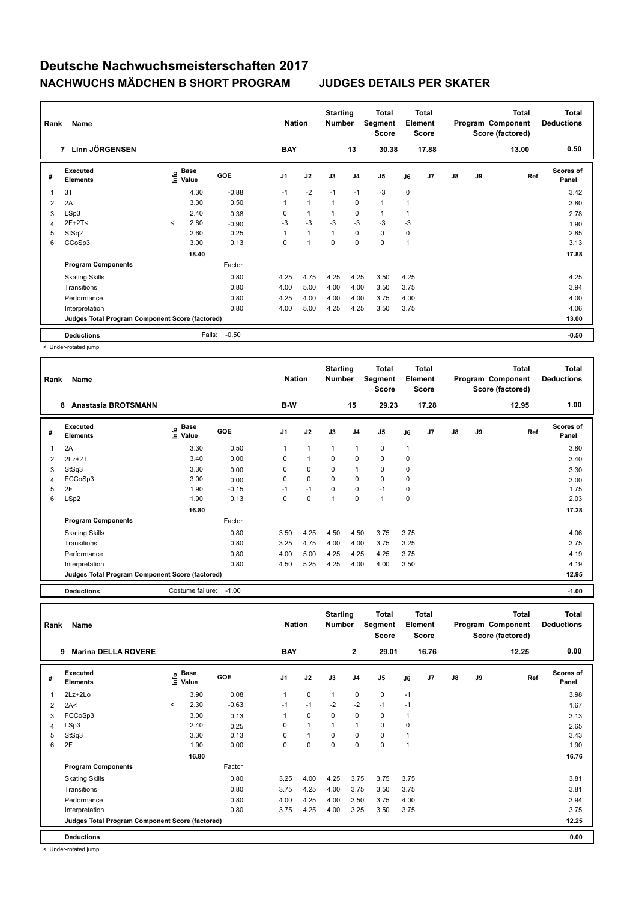|                         | Name<br>Rank<br>Linn JÖRGENSEN<br>$\overline{7}$ |         |                                             |            |                | <b>Nation</b>  | <b>Starting</b><br><b>Number</b> |                | Total<br>Segment<br><b>Score</b> | Element | <b>Total</b><br>Score |               |    | <b>Total</b><br>Program Component<br>Score (factored) | <b>Total</b><br><b>Deductions</b> |
|-------------------------|--------------------------------------------------|---------|---------------------------------------------|------------|----------------|----------------|----------------------------------|----------------|----------------------------------|---------|-----------------------|---------------|----|-------------------------------------------------------|-----------------------------------|
|                         |                                                  |         |                                             |            | <b>BAY</b>     |                |                                  | 13             | 30.38                            |         | 17.88                 |               |    | 13.00                                                 | 0.50                              |
| #                       | Executed<br><b>Elements</b>                      |         | <b>Base</b><br>e <sup>Base</sup><br>⊆ Value | <b>GOE</b> | J <sub>1</sub> | J2             | J3                               | J <sub>4</sub> | J <sub>5</sub>                   | J6      | J7                    | $\mathsf{J}8$ | J9 | Ref                                                   | <b>Scores of</b><br>Panel         |
| $\overline{\mathbf{1}}$ | 3T                                               |         | 4.30                                        | $-0.88$    | $-1$           | $-2$           | $-1$                             | $-1$           | $-3$                             | 0       |                       |               |    |                                                       | 3.42                              |
| 2                       | 2A                                               |         | 3.30                                        | 0.50       |                | $\mathbf{1}$   | 1                                | $\mathbf 0$    | $\mathbf{1}$                     | 1       |                       |               |    |                                                       | 3.80                              |
| 3                       | LSp3                                             |         | 2.40                                        | 0.38       | 0              | 1              | 1                                | $\mathbf 0$    | $\mathbf{1}$                     | 1       |                       |               |    |                                                       | 2.78                              |
| 4                       | $2F+2T2$                                         | $\prec$ | 2.80                                        | $-0.90$    | $-3$           | $-3$           | $-3$                             | $-3$           | $-3$                             | $-3$    |                       |               |    |                                                       | 1.90                              |
| 5                       | StSq2                                            |         | 2.60                                        | 0.25       |                | 1              | $\overline{1}$                   | $\mathbf 0$    | $\mathbf 0$                      | 0       |                       |               |    |                                                       | 2.85                              |
| 6                       | CCoSp3                                           |         | 3.00                                        | 0.13       | 0              | $\overline{1}$ | 0                                | 0              | $\mathbf 0$                      | 1       |                       |               |    |                                                       | 3.13                              |
|                         |                                                  |         | 18.40                                       |            |                |                |                                  |                |                                  |         |                       |               |    |                                                       | 17.88                             |
|                         | <b>Program Components</b>                        |         |                                             | Factor     |                |                |                                  |                |                                  |         |                       |               |    |                                                       |                                   |
|                         | <b>Skating Skills</b>                            |         |                                             | 0.80       | 4.25           | 4.75           | 4.25                             | 4.25           | 3.50                             | 4.25    |                       |               |    |                                                       | 4.25                              |
|                         | Transitions                                      |         |                                             | 0.80       | 4.00           | 5.00           | 4.00                             | 4.00           | 3.50                             | 3.75    |                       |               |    |                                                       | 3.94                              |
|                         | Performance                                      |         |                                             | 0.80       | 4.25           | 4.00           | 4.00                             | 4.00           | 3.75                             | 4.00    |                       |               |    |                                                       | 4.00                              |
|                         | Interpretation                                   |         |                                             | 0.80       | 4.00           | 5.00           | 4.25                             | 4.25           | 3.50                             | 3.75    |                       |               |    |                                                       | 4.06                              |
|                         | Judges Total Program Component Score (factored)  |         |                                             |            |                |                |                                  |                |                                  |         |                       |               |    |                                                       | 13.00                             |
|                         | <b>Deductions</b>                                |         | Falls:                                      | $-0.50$    |                |                |                                  |                |                                  |         |                       |               |    |                                                       | $-0.50$                           |

< Under-rotated jump

| Rank | <b>Name</b>                                     |                                           |            | <b>Nation</b>  |              | <b>Starting</b><br><b>Number</b> |                | Total<br>Segment<br><b>Score</b> |              | <b>Total</b><br>Element<br><b>Score</b> |               |    | <b>Total</b><br>Program Component<br>Score (factored) | <b>Total</b><br><b>Deductions</b> |
|------|-------------------------------------------------|-------------------------------------------|------------|----------------|--------------|----------------------------------|----------------|----------------------------------|--------------|-----------------------------------------|---------------|----|-------------------------------------------------------|-----------------------------------|
|      | <b>Anastasia BROTSMANN</b><br>8                 |                                           |            | B-W            |              |                                  | 15             | 29.23                            |              | 17.28                                   |               |    | 12.95                                                 | 1.00                              |
| #    | Executed<br><b>Elements</b>                     | $\frac{e}{E}$ Base<br>$\frac{e}{E}$ Value | <b>GOE</b> | J <sub>1</sub> | J2           | J3                               | J <sub>4</sub> | J <sub>5</sub>                   | J6           | J7                                      | $\mathsf{J}8$ | J9 | Ref                                                   | Scores of<br>Panel                |
| 1    | 2A                                              | 3.30                                      | 0.50       | 1              | $\mathbf{1}$ | 1                                | $\overline{1}$ | $\pmb{0}$                        | $\mathbf{1}$ |                                         |               |    |                                                       | 3.80                              |
| 2    | $2Lz+2T$                                        | 3.40                                      | 0.00       | 0              | $\mathbf{1}$ | 0                                | $\mathbf 0$    | $\mathbf 0$                      | 0            |                                         |               |    |                                                       | 3.40                              |
| 3    | StSq3                                           | 3.30                                      | 0.00       | 0              | $\mathbf 0$  | $\Omega$                         | $\mathbf{1}$   | $\mathbf 0$                      | $\mathbf 0$  |                                         |               |    |                                                       | 3.30                              |
| 4    | FCCoSp3                                         | 3.00                                      | 0.00       | 0              | $\mathbf 0$  | $\Omega$                         | $\mathbf 0$    | $\mathbf 0$                      | 0            |                                         |               |    |                                                       | 3.00                              |
| 5    | 2F                                              | 1.90                                      | $-0.15$    | $-1$           | $-1$         | $\Omega$                         | $\mathbf 0$    | $-1$                             | $\mathbf 0$  |                                         |               |    |                                                       | 1.75                              |
| 6    | LSp2                                            | 1.90                                      | 0.13       | $\Omega$       | $\mathbf 0$  | $\overline{1}$                   | 0              | 1                                | 0            |                                         |               |    |                                                       | 2.03                              |
|      |                                                 | 16.80                                     |            |                |              |                                  |                |                                  |              |                                         |               |    |                                                       | 17.28                             |
|      | <b>Program Components</b>                       |                                           | Factor     |                |              |                                  |                |                                  |              |                                         |               |    |                                                       |                                   |
|      | <b>Skating Skills</b>                           |                                           | 0.80       | 3.50           | 4.25         | 4.50                             | 4.50           | 3.75                             | 3.75         |                                         |               |    |                                                       | 4.06                              |
|      | Transitions                                     |                                           | 0.80       | 3.25           | 4.75         | 4.00                             | 4.00           | 3.75                             | 3.25         |                                         |               |    |                                                       | 3.75                              |
|      | Performance                                     |                                           | 0.80       | 4.00           | 5.00         | 4.25                             | 4.25           | 4.25                             | 3.75         |                                         |               |    |                                                       | 4.19                              |
|      | Interpretation                                  |                                           | 0.80       | 4.50           | 5.25         | 4.25                             | 4.00           | 4.00                             | 3.50         |                                         |               |    |                                                       | 4.19                              |
|      | Judges Total Program Component Score (factored) |                                           |            |                |              |                                  |                |                                  |              |                                         |               |    |                                                       | 12.95                             |
|      | <b>Deductions</b>                               | Costume failure:                          | $-1.00$    |                |              |                                  |                |                                  |              |                                         |               |    |                                                       | $-1.00$                           |

| Rank | Name                                            |         |                      |            | <b>Nation</b> |              | <b>Starting</b><br>Number |                | <b>Total</b><br>Segment<br><b>Score</b> |      | Total<br>Element<br>Score |               |    | <b>Total</b><br>Program Component<br>Score (factored) | <b>Total</b><br><b>Deductions</b> |
|------|-------------------------------------------------|---------|----------------------|------------|---------------|--------------|---------------------------|----------------|-----------------------------------------|------|---------------------------|---------------|----|-------------------------------------------------------|-----------------------------------|
|      | <b>Marina DELLA ROVERE</b><br>9                 |         |                      |            | <b>BAY</b>    |              |                           | $\mathbf{2}$   | 29.01                                   |      | 16.76                     |               |    | 12.25                                                 | 0.00                              |
| #    | <b>Executed</b><br><b>Elements</b>              | lnfo    | <b>Base</b><br>Value | <b>GOE</b> | J1            | J2           | J3                        | J <sub>4</sub> | J5                                      | J6   | J7                        | $\mathsf{J}8$ | J9 | Ref                                                   | Scores of<br>Panel                |
| 1    | $2Lz + 2Lo$                                     |         | 3.90                 | 0.08       | 1             | $\mathbf 0$  | $\mathbf{1}$              | 0              | $\mathbf 0$                             | $-1$ |                           |               |    |                                                       | 3.98                              |
| 2    | 2A<                                             | $\prec$ | 2.30                 | $-0.63$    | $-1$          | $-1$         | $-2$                      | $-2$           | $-1$                                    | $-1$ |                           |               |    |                                                       | 1.67                              |
| 3    | FCCoSp3                                         |         | 3.00                 | 0.13       | $\mathbf{1}$  | 0            | $\mathbf 0$               | 0              | 0                                       | 1    |                           |               |    |                                                       | 3.13                              |
| 4    | LSp3                                            |         | 2.40                 | 0.25       | $\mathbf 0$   | $\mathbf{1}$ | $\mathbf{1}$              | 1              | $\mathbf 0$                             | 0    |                           |               |    |                                                       | 2.65                              |
| 5    | StSq3                                           |         | 3.30                 | 0.13       | $\mathbf 0$   | $\mathbf{1}$ | $\mathbf 0$               | 0              | $\mathbf 0$                             |      |                           |               |    |                                                       | 3.43                              |
| 6    | 2F                                              |         | 1.90                 | 0.00       | $\Omega$      | $\mathbf 0$  | $\mathbf 0$               | 0              | $\mathbf 0$                             | 1    |                           |               |    |                                                       | 1.90                              |
|      |                                                 |         | 16.80                |            |               |              |                           |                |                                         |      |                           |               |    |                                                       | 16.76                             |
|      | <b>Program Components</b>                       |         |                      | Factor     |               |              |                           |                |                                         |      |                           |               |    |                                                       |                                   |
|      | <b>Skating Skills</b>                           |         |                      | 0.80       | 3.25          | 4.00         | 4.25                      | 3.75           | 3.75                                    | 3.75 |                           |               |    |                                                       | 3.81                              |
|      | Transitions                                     |         |                      | 0.80       | 3.75          | 4.25         | 4.00                      | 3.75           | 3.50                                    | 3.75 |                           |               |    |                                                       | 3.81                              |
|      | Performance                                     |         |                      | 0.80       | 4.00          | 4.25         | 4.00                      | 3.50           | 3.75                                    | 4.00 |                           |               |    |                                                       | 3.94                              |
|      | Interpretation                                  |         |                      | 0.80       | 3.75          | 4.25         | 4.00                      | 3.25           | 3.50                                    | 3.75 |                           |               |    |                                                       | 3.75                              |
|      | Judges Total Program Component Score (factored) |         |                      |            |               |              |                           |                |                                         |      |                           |               |    |                                                       | 12.25                             |
|      | <b>Deductions</b>                               |         |                      |            |               |              |                           |                |                                         |      |                           |               |    |                                                       | 0.00                              |

< Under-rotated jump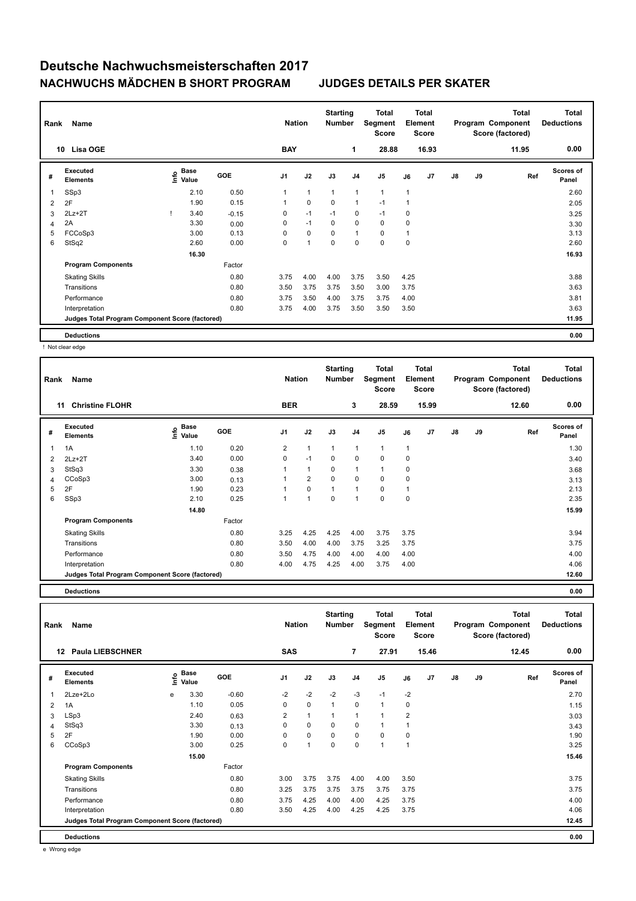| Rank | Name<br>Lisa OGE<br>10                          |  |                                             |            | <b>Nation</b>  |              | <b>Starting</b><br><b>Number</b> |                | <b>Total</b><br>Segment<br>Score |                | <b>Total</b><br>Element<br><b>Score</b> |               |    | <b>Total</b><br>Program Component<br>Score (factored) | <b>Total</b><br><b>Deductions</b> |
|------|-------------------------------------------------|--|---------------------------------------------|------------|----------------|--------------|----------------------------------|----------------|----------------------------------|----------------|-----------------------------------------|---------------|----|-------------------------------------------------------|-----------------------------------|
|      |                                                 |  |                                             |            | <b>BAY</b>     |              |                                  | 1              | 28.88                            |                | 16.93                                   |               |    | 11.95                                                 | 0.00                              |
| #    | <b>Executed</b><br><b>Elements</b>              |  | <b>Base</b><br>e <sup>Base</sup><br>⊆ Value | <b>GOE</b> | J <sub>1</sub> | J2           | J3                               | J <sub>4</sub> | J <sub>5</sub>                   | J6             | J7                                      | $\mathsf{J}8$ | J9 | Ref                                                   | <b>Scores of</b><br>Panel         |
| 1    | SSp3                                            |  | 2.10                                        | 0.50       | $\mathbf{1}$   | $\mathbf{1}$ | 1                                | $\mathbf{1}$   | $\mathbf{1}$                     | $\mathbf{1}$   |                                         |               |    |                                                       | 2.60                              |
| 2    | 2F                                              |  | 1.90                                        | 0.15       | $\mathbf{1}$   | $\mathbf 0$  | 0                                | 1              | $-1$                             | 1              |                                         |               |    |                                                       | 2.05                              |
| 3    | $2Lz+2T$                                        |  | 3.40                                        | $-0.15$    | 0              | $-1$         | $-1$                             | 0              | $-1$                             | 0              |                                         |               |    |                                                       | 3.25                              |
| 4    | 2A                                              |  | 3.30                                        | 0.00       | 0              | $-1$         | $\Omega$                         | 0              | $\mathbf 0$                      | 0              |                                         |               |    |                                                       | 3.30                              |
| 5    | FCCoSp3                                         |  | 3.00                                        | 0.13       | 0              | 0            | $\Omega$                         | $\overline{1}$ | 0                                | $\overline{1}$ |                                         |               |    |                                                       | 3.13                              |
| 6    | StSq2                                           |  | 2.60                                        | 0.00       | 0              | 1            | 0                                | 0              | $\mathbf 0$                      | 0              |                                         |               |    |                                                       | 2.60                              |
|      |                                                 |  | 16.30                                       |            |                |              |                                  |                |                                  |                |                                         |               |    |                                                       | 16.93                             |
|      | <b>Program Components</b>                       |  |                                             | Factor     |                |              |                                  |                |                                  |                |                                         |               |    |                                                       |                                   |
|      | <b>Skating Skills</b>                           |  |                                             | 0.80       | 3.75           | 4.00         | 4.00                             | 3.75           | 3.50                             | 4.25           |                                         |               |    |                                                       | 3.88                              |
|      | Transitions                                     |  |                                             | 0.80       | 3.50           | 3.75         | 3.75                             | 3.50           | 3.00                             | 3.75           |                                         |               |    |                                                       | 3.63                              |
|      | Performance                                     |  |                                             | 0.80       | 3.75           | 3.50         | 4.00                             | 3.75           | 3.75                             | 4.00           |                                         |               |    |                                                       | 3.81                              |
|      | Interpretation                                  |  |                                             | 0.80       | 3.75           | 4.00         | 3.75                             | 3.50           | 3.50                             | 3.50           |                                         |               |    |                                                       | 3.63                              |
|      | Judges Total Program Component Score (factored) |  |                                             |            |                |              |                                  |                |                                  |                |                                         |               |    |                                                       | 11.95                             |
|      | <b>Deductions</b>                               |  |                                             |            |                |              |                                  |                |                                  |                |                                         |               |    |                                                       | 0.00                              |

! Not clear edge

| Rank | Name                                            |                              |            | <b>Nation</b>        |                | <b>Starting</b><br>Number |                | Total<br>Segment<br><b>Score</b> |                | <b>Total</b><br>Element<br><b>Score</b> |    |    | <b>Total</b><br>Program Component<br>Score (factored) | <b>Total</b><br><b>Deductions</b> |
|------|-------------------------------------------------|------------------------------|------------|----------------------|----------------|---------------------------|----------------|----------------------------------|----------------|-----------------------------------------|----|----|-------------------------------------------------------|-----------------------------------|
|      | <b>Christine FLOHR</b><br>11                    |                              |            | <b>BER</b>           |                |                           | 3              | 28.59                            |                | 15.99                                   |    |    | 12.60                                                 | 0.00                              |
| #    | <b>Executed</b><br><b>Elements</b>              | <b>Base</b><br>lnfo<br>Value | <b>GOE</b> | J <sub>1</sub>       | J2             | J3                        | J <sub>4</sub> | J <sub>5</sub>                   | J6             | J <sub>7</sub>                          | J8 | J9 | Ref                                                   | Scores of<br>Panel                |
| 1    | 1A                                              | 1.10                         | 0.20       | $\overline{2}$       | $\mathbf{1}$   | $\overline{1}$            | $\overline{1}$ | $\mathbf{1}$                     | $\overline{1}$ |                                         |    |    |                                                       | 1.30                              |
| 2    | $2Lz+2T$                                        | 3.40                         | 0.00       | 0                    | $-1$           | 0                         | 0              | $\mathbf 0$                      | 0              |                                         |    |    |                                                       | 3.40                              |
| 3    | StSq3                                           | 3.30                         | 0.38       | 1                    | $\mathbf{1}$   | 0                         | $\overline{1}$ | $\mathbf{1}$                     | 0              |                                         |    |    |                                                       | 3.68                              |
| 4    | CCoSp3                                          | 3.00                         | 0.13       | $\blacktriangleleft$ | $\overline{2}$ | $\Omega$                  | 0              | $\mathbf 0$                      | 0              |                                         |    |    |                                                       | 3.13                              |
| 5    | 2F                                              | 1.90                         | 0.23       |                      | $\mathbf 0$    | $\overline{1}$            | $\overline{1}$ | 0                                |                |                                         |    |    |                                                       | 2.13                              |
| 6    | SSp3                                            | 2.10                         | 0.25       | 1                    | 1              | 0                         | -1             | $\mathbf 0$                      | 0              |                                         |    |    |                                                       | 2.35                              |
|      |                                                 | 14.80                        |            |                      |                |                           |                |                                  |                |                                         |    |    |                                                       | 15.99                             |
|      | <b>Program Components</b>                       |                              | Factor     |                      |                |                           |                |                                  |                |                                         |    |    |                                                       |                                   |
|      | <b>Skating Skills</b>                           |                              | 0.80       | 3.25                 | 4.25           | 4.25                      | 4.00           | 3.75                             | 3.75           |                                         |    |    |                                                       | 3.94                              |
|      | Transitions                                     |                              | 0.80       | 3.50                 | 4.00           | 4.00                      | 3.75           | 3.25                             | 3.75           |                                         |    |    |                                                       | 3.75                              |
|      | Performance                                     |                              | 0.80       | 3.50                 | 4.75           | 4.00                      | 4.00           | 4.00                             | 4.00           |                                         |    |    |                                                       | 4.00                              |
|      | Interpretation                                  |                              | 0.80       | 4.00                 | 4.75           | 4.25                      | 4.00           | 3.75                             | 4.00           |                                         |    |    |                                                       | 4.06                              |
|      | Judges Total Program Component Score (factored) |                              |            |                      |                |                           |                |                                  |                |                                         |    |    |                                                       | 12.60                             |

**Deductions 0.00**

**Total Deductions Total Program Component Score (factored) Total Element Score Total Segment Score Starting Rank Name Nation Nation # Executed Elements**   $rac{1}{2}$  Base<br> $rac{1}{2}$ **Value GOE J1 J2 J3 J4 J5 J6 J7 J8 J9 Scores of Panel** 1 3.30 -0.60 -2 -2 -2 -3 -1 -2 **Ref**  2Lze+2Lo e 2.70 **Info 12 Paula LIEBSCHNER SAS 7 27.91 15.46 12.45 0.00** 2 1A 1.10 0.05 0 0 1 0 1 0 1.15 3 LSp3 2.40 0.63 2 1 1 1 1 2 3.03 4 StSq3 3.30 0.13 0 0 0 0 1 1 3.43 5 2F 1.90 0.00 0 0 0 0 0 0 1.90 6 CCoSp3 3.00 0.25 0 1 0 0 1 1 3.25  **15.00** 15.46 **Program Components**  Skating Skills 3.00 3.75 3.75 4.00 4.00 3.50 0.80 3.75 Factor Transitions 0.80 3.25 3.75 3.75 3.75 3.75 3.75 3.75 Performance 0.80 3.75 4.25 4.00 4.00 4.25 3.75 4.00 Interpretation 0.80 3.50 4.25 4.00 4.25 4.25 3.75 4.06 **Deductions 0.00 Judges Total Program Component Score (factored) 12.45**

e Wrong edge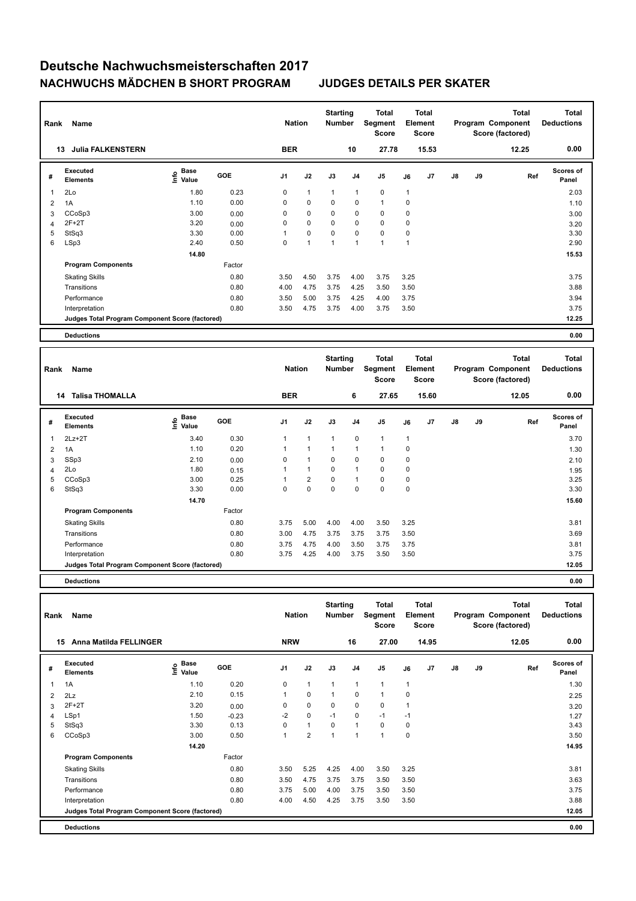| Rank         | Name<br><b>Julia FALKENSTERN</b><br>13          |                                  |            | <b>Nation</b>  |                | <b>Starting</b><br><b>Number</b> |                | Total<br>Segment<br><b>Score</b> |                | <b>Total</b><br>Element<br><b>Score</b> |               |    | <b>Total</b><br>Program Component<br>Score (factored) | <b>Total</b><br><b>Deductions</b> |
|--------------|-------------------------------------------------|----------------------------------|------------|----------------|----------------|----------------------------------|----------------|----------------------------------|----------------|-----------------------------------------|---------------|----|-------------------------------------------------------|-----------------------------------|
|              |                                                 |                                  |            | <b>BER</b>     |                |                                  | 10             | 27.78                            |                | 15.53                                   |               |    | 12.25                                                 | 0.00                              |
| #            | Executed<br><b>Elements</b>                     | <b>Base</b><br>e Base<br>⊆ Value | <b>GOE</b> | J <sub>1</sub> | J2             | J3                               | J <sub>4</sub> | J <sub>5</sub>                   | J6             | J7                                      | $\mathsf{J}8$ | J9 | Ref                                                   | <b>Scores of</b><br>Panel         |
| $\mathbf{1}$ | 2Lo                                             | 1.80                             | 0.23       | 0              | $\mathbf{1}$   | 1                                | $\overline{1}$ | $\pmb{0}$                        | $\mathbf{1}$   |                                         |               |    |                                                       | 2.03                              |
| 2            | 1A                                              | 1.10                             | 0.00       | 0              | $\mathbf 0$    | 0                                | $\mathbf 0$    | $\mathbf{1}$                     | 0              |                                         |               |    |                                                       | 1.10                              |
| 3            | CCoSp3                                          | 3.00                             | 0.00       | 0              | $\mathbf 0$    | 0                                | $\mathbf 0$    | $\mathbf 0$                      | 0              |                                         |               |    |                                                       | 3.00                              |
| 4            | $2F+2T$                                         | 3.20                             | 0.00       | 0              | $\mathbf 0$    | 0                                | $\mathbf 0$    | $\mathbf 0$                      | 0              |                                         |               |    |                                                       | 3.20                              |
| 5            | StSq3                                           | 3.30                             | 0.00       |                | $\mathbf 0$    | 0                                | $\mathbf 0$    | $\mathbf 0$                      | $\pmb{0}$      |                                         |               |    |                                                       | 3.30                              |
| 6            | LSp3                                            | 2.40                             | 0.50       | 0              | $\overline{1}$ | 1                                | 1              | 1                                | $\overline{1}$ |                                         |               |    |                                                       | 2.90                              |
|              |                                                 | 14.80                            |            |                |                |                                  |                |                                  |                |                                         |               |    |                                                       | 15.53                             |
|              | <b>Program Components</b>                       |                                  | Factor     |                |                |                                  |                |                                  |                |                                         |               |    |                                                       |                                   |
|              | <b>Skating Skills</b>                           |                                  | 0.80       | 3.50           | 4.50           | 3.75                             | 4.00           | 3.75                             | 3.25           |                                         |               |    |                                                       | 3.75                              |
|              | Transitions                                     |                                  | 0.80       | 4.00           | 4.75           | 3.75                             | 4.25           | 3.50                             | 3.50           |                                         |               |    |                                                       | 3.88                              |
|              | Performance                                     |                                  | 0.80       | 3.50           | 5.00           | 3.75                             | 4.25           | 4.00                             | 3.75           |                                         |               |    |                                                       | 3.94                              |
|              | Interpretation                                  |                                  | 0.80       | 3.50           | 4.75           | 3.75                             | 4.00           | 3.75                             | 3.50           |                                         |               |    |                                                       | 3.75                              |
|              | Judges Total Program Component Score (factored) |                                  |            |                |                |                                  |                |                                  |                |                                         |               |    |                                                       | 12.25                             |
|              | <b>Deductions</b>                               |                                  |            |                |                |                                  |                |                                  |                |                                         |               |    |                                                       | 0.00                              |

| Rank | <b>Name</b>                                     |                           |            | <b>Nation</b> |                | <b>Starting</b><br><b>Number</b> |                | <b>Total</b><br>Segment<br><b>Score</b> |             | <b>Total</b><br>Element<br><b>Score</b> |               |    | <b>Total</b><br>Program Component<br>Score (factored) | <b>Total</b><br><b>Deductions</b> |
|------|-------------------------------------------------|---------------------------|------------|---------------|----------------|----------------------------------|----------------|-----------------------------------------|-------------|-----------------------------------------|---------------|----|-------------------------------------------------------|-----------------------------------|
|      | <b>Talisa THOMALLA</b><br>14                    |                           |            | <b>BER</b>    |                |                                  | 6              | 27.65                                   |             | 15.60                                   |               |    | 12.05                                                 | 0.00                              |
| #    | <b>Executed</b><br><b>Elements</b>              | Base<br>e Base<br>E Value | <b>GOE</b> | J1            | J2             | J3                               | J <sub>4</sub> | J <sub>5</sub>                          | J6          | J <sub>7</sub>                          | $\mathsf{J}8$ | J9 | Ref                                                   | <b>Scores of</b><br>Panel         |
| 1    | $2Lz+2T$                                        | 3.40                      | 0.30       | $\mathbf{1}$  | $\mathbf{1}$   | $\mathbf{1}$                     | $\Omega$       | $\mathbf{1}$                            | $\mathbf 1$ |                                         |               |    |                                                       | 3.70                              |
| 2    | 1A                                              | 1.10                      | 0.20       | 1             | 1              | $\mathbf{1}$                     | 1              | 1                                       | 0           |                                         |               |    |                                                       | 1.30                              |
| 3    | SSp3                                            | 2.10                      | 0.00       | 0             | 1              | $\mathbf 0$                      | 0              | $\mathbf 0$                             | 0           |                                         |               |    |                                                       | 2.10                              |
| 4    | 2Lo                                             | 1.80                      | 0.15       | 1             | $\mathbf{1}$   | $\mathbf 0$                      | 1              | $\mathbf 0$                             | 0           |                                         |               |    |                                                       | 1.95                              |
| 5    | CCoSp3                                          | 3.00                      | 0.25       | 1             | $\overline{2}$ | $\Omega$                         |                | $\mathbf 0$                             | 0           |                                         |               |    |                                                       | 3.25                              |
| 6    | StSq3                                           | 3.30                      | 0.00       | 0             | 0              | $\Omega$                         | $\Omega$       | $\mathbf 0$                             | 0           |                                         |               |    |                                                       | 3.30                              |
|      |                                                 | 14.70                     |            |               |                |                                  |                |                                         |             |                                         |               |    |                                                       | 15.60                             |
|      | <b>Program Components</b>                       |                           | Factor     |               |                |                                  |                |                                         |             |                                         |               |    |                                                       |                                   |
|      | <b>Skating Skills</b>                           |                           | 0.80       | 3.75          | 5.00           | 4.00                             | 4.00           | 3.50                                    | 3.25        |                                         |               |    |                                                       | 3.81                              |
|      | Transitions                                     |                           | 0.80       | 3.00          | 4.75           | 3.75                             | 3.75           | 3.75                                    | 3.50        |                                         |               |    |                                                       | 3.69                              |
|      | Performance                                     |                           | 0.80       | 3.75          | 4.75           | 4.00                             | 3.50           | 3.75                                    | 3.75        |                                         |               |    |                                                       | 3.81                              |
|      | Interpretation                                  |                           | 0.80       | 3.75          | 4.25           | 4.00                             | 3.75           | 3.50                                    | 3.50        |                                         |               |    |                                                       | 3.75                              |
|      | Judges Total Program Component Score (factored) |                           |            |               |                |                                  |                |                                         |             |                                         |               |    |                                                       | 12.05                             |
|      |                                                 |                           |            |               |                |                                  |                |                                         |             |                                         |               |    |                                                       |                                   |

**Deductions 0.00**

| Rank | Name                                            |                                  |            | <b>Nation</b>  |                | <b>Starting</b><br><b>Number</b> |                | <b>Total</b><br><b>Segment</b><br><b>Score</b> | Element      | <b>Total</b><br><b>Score</b> |    |    | <b>Total</b><br>Program Component<br>Score (factored) | <b>Total</b><br><b>Deductions</b> |
|------|-------------------------------------------------|----------------------------------|------------|----------------|----------------|----------------------------------|----------------|------------------------------------------------|--------------|------------------------------|----|----|-------------------------------------------------------|-----------------------------------|
| 15   | <b>Anna Matilda FELLINGER</b>                   |                                  |            | <b>NRW</b>     |                |                                  | 16             | 27.00                                          |              | 14.95                        |    |    | 12.05                                                 | 0.00                              |
| #    | <b>Executed</b><br><b>Elements</b>              | <b>Base</b><br>e Base<br>E Value | <b>GOE</b> | J <sub>1</sub> | J2             | J3                               | J <sub>4</sub> | J <sub>5</sub>                                 | J6           | J <sub>7</sub>               | J8 | J9 | Ref                                                   | Scores of<br>Panel                |
| 1    | 1A                                              | 1.10                             | 0.20       | 0              | $\mathbf{1}$   | 1                                | $\mathbf{1}$   | $\overline{1}$                                 | $\mathbf{1}$ |                              |    |    |                                                       | 1.30                              |
| 2    | 2Lz                                             | 2.10                             | 0.15       | 1              | $\mathbf 0$    | 1                                | $\mathbf 0$    | $\mathbf{1}$                                   | $\mathbf 0$  |                              |    |    |                                                       | 2.25                              |
| 3    | $2F+2T$                                         | 3.20                             | 0.00       | 0              | $\mathbf 0$    | 0                                | 0              | 0                                              |              |                              |    |    |                                                       | 3.20                              |
| 4    | LSp1                                            | 1.50                             | $-0.23$    | $-2$           | $\mathbf 0$    | $-1$                             | 0              | $-1$                                           | $-1$         |                              |    |    |                                                       | 1.27                              |
| 5    | StSq3                                           | 3.30                             | 0.13       | $\mathbf 0$    | $\mathbf{1}$   | $\Omega$                         | $\mathbf{1}$   | $\mathbf 0$                                    | 0            |                              |    |    |                                                       | 3.43                              |
| 6    | CCoSp3                                          | 3.00                             | 0.50       | 1              | $\overline{2}$ | $\overline{1}$                   | $\overline{1}$ | $\overline{1}$                                 | $\mathbf 0$  |                              |    |    |                                                       | 3.50                              |
|      |                                                 | 14.20                            |            |                |                |                                  |                |                                                |              |                              |    |    |                                                       | 14.95                             |
|      | <b>Program Components</b>                       |                                  | Factor     |                |                |                                  |                |                                                |              |                              |    |    |                                                       |                                   |
|      | <b>Skating Skills</b>                           |                                  | 0.80       | 3.50           | 5.25           | 4.25                             | 4.00           | 3.50                                           | 3.25         |                              |    |    |                                                       | 3.81                              |
|      | Transitions                                     |                                  | 0.80       | 3.50           | 4.75           | 3.75                             | 3.75           | 3.50                                           | 3.50         |                              |    |    |                                                       | 3.63                              |
|      | Performance                                     |                                  | 0.80       | 3.75           | 5.00           | 4.00                             | 3.75           | 3.50                                           | 3.50         |                              |    |    |                                                       | 3.75                              |
|      | Interpretation                                  |                                  | 0.80       | 4.00           | 4.50           | 4.25                             | 3.75           | 3.50                                           | 3.50         |                              |    |    |                                                       | 3.88                              |
|      | Judges Total Program Component Score (factored) |                                  |            |                |                |                                  |                |                                                |              |                              |    |    |                                                       | 12.05                             |
|      | <b>Deductions</b>                               |                                  |            |                |                |                                  |                |                                                |              |                              |    |    |                                                       | 0.00                              |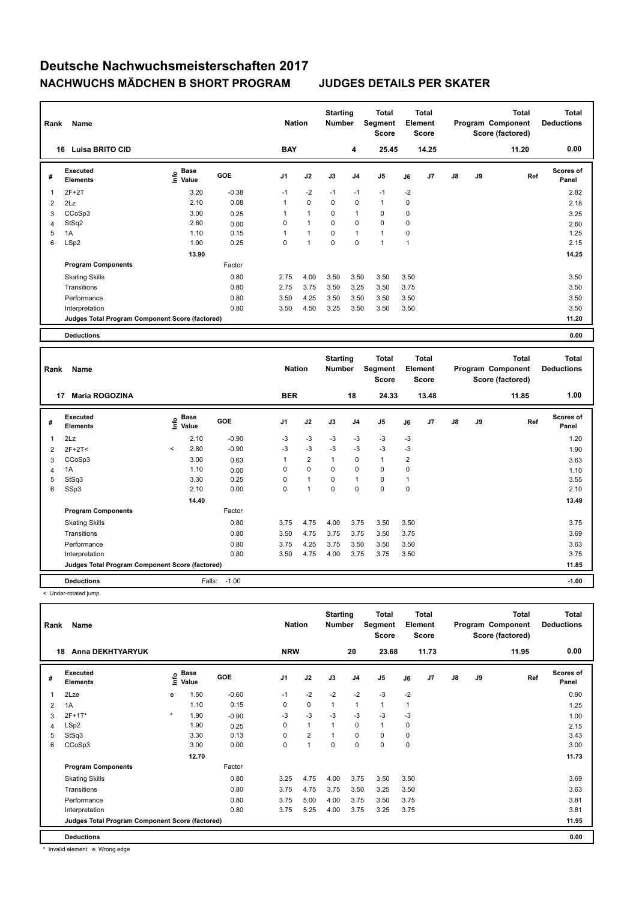| Rank           | Name                                            |                                  |            | <b>Nation</b>  |             | <b>Starting</b><br><b>Number</b> |                | Total<br>Segment<br><b>Score</b> |      | <b>Total</b><br>Element<br><b>Score</b> |               |    | <b>Total</b><br>Program Component<br>Score (factored) | <b>Total</b><br><b>Deductions</b> |
|----------------|-------------------------------------------------|----------------------------------|------------|----------------|-------------|----------------------------------|----------------|----------------------------------|------|-----------------------------------------|---------------|----|-------------------------------------------------------|-----------------------------------|
| 16             | <b>Luisa BRITO CID</b>                          |                                  |            | <b>BAY</b>     |             |                                  | 4              | 25.45                            |      | 14.25                                   |               |    | 11.20                                                 | 0.00                              |
| #              | Executed<br><b>Elements</b>                     | <b>Base</b><br>e Base<br>⊆ Value | <b>GOE</b> | J <sub>1</sub> | J2          | J3                               | J <sub>4</sub> | J <sub>5</sub>                   | J6   | J7                                      | $\mathsf{J}8$ | J9 | Ref                                                   | <b>Scores of</b><br>Panel         |
|                | $2F+2T$                                         | 3.20                             | $-0.38$    | $-1$           | $-2$        | $-1$                             | $-1$           | $-1$                             | $-2$ |                                         |               |    |                                                       | 2.82                              |
| 2              | 2Lz                                             | 2.10                             | 0.08       | 1              | $\mathbf 0$ | $\mathbf 0$                      | $\mathbf 0$    | $\mathbf{1}$                     | 0    |                                         |               |    |                                                       | 2.18                              |
| 3              | CCoSp3                                          | 3.00                             | 0.25       |                | 1           | 0                                | $\overline{1}$ | $\mathbf 0$                      | 0    |                                         |               |    |                                                       | 3.25                              |
| $\overline{4}$ | StSq2                                           | 2.60                             | 0.00       | 0              | 1           | 0                                | $\mathbf 0$    | $\mathbf 0$                      | 0    |                                         |               |    |                                                       | 2.60                              |
| 5              | 1A                                              | 1.10                             | 0.15       |                | 1           | 0                                | $\overline{1}$ | $\mathbf{1}$                     | 0    |                                         |               |    |                                                       | 1.25                              |
| 6              | LSp2                                            | 1.90                             | 0.25       | 0              | 1           | $\mathbf 0$                      | 0              | 1                                | 1    |                                         |               |    |                                                       | 2.15                              |
|                |                                                 | 13.90                            |            |                |             |                                  |                |                                  |      |                                         |               |    |                                                       | 14.25                             |
|                | <b>Program Components</b>                       |                                  | Factor     |                |             |                                  |                |                                  |      |                                         |               |    |                                                       |                                   |
|                | <b>Skating Skills</b>                           |                                  | 0.80       | 2.75           | 4.00        | 3.50                             | 3.50           | 3.50                             | 3.50 |                                         |               |    |                                                       | 3.50                              |
|                | Transitions                                     |                                  | 0.80       | 2.75           | 3.75        | 3.50                             | 3.25           | 3.50                             | 3.75 |                                         |               |    |                                                       | 3.50                              |
|                | Performance                                     |                                  | 0.80       | 3.50           | 4.25        | 3.50                             | 3.50           | 3.50                             | 3.50 |                                         |               |    |                                                       | 3.50                              |
|                | Interpretation                                  |                                  | 0.80       | 3.50           | 4.50        | 3.25                             | 3.50           | 3.50                             | 3.50 |                                         |               |    |                                                       | 3.50                              |
|                | Judges Total Program Component Score (factored) |                                  |            |                |             |                                  |                |                                  |      |                                         |               |    |                                                       | 11.20                             |
|                | <b>Deductions</b>                               |                                  |            |                |             |                                  |                |                                  |      |                                         |               |    |                                                       | 0.00                              |

| Rank | Name                                            |         | <b>Nation</b>        |            | <b>Starting</b><br><b>Number</b> | <b>Total</b><br>Segment<br><b>Score</b> |              | <b>Total</b><br>Element<br><b>Score</b> |              |                | Total<br>Program Component<br>Score (factored) | <b>Total</b><br><b>Deductions</b> |    |       |                           |
|------|-------------------------------------------------|---------|----------------------|------------|----------------------------------|-----------------------------------------|--------------|-----------------------------------------|--------------|----------------|------------------------------------------------|-----------------------------------|----|-------|---------------------------|
| 17   | <b>Maria ROGOZINA</b>                           |         |                      |            | <b>BER</b>                       |                                         |              | 18                                      | 24.33        |                | 13.48                                          |                                   |    | 11.85 | 1.00                      |
| #    | Executed<br><b>Elements</b>                     | Info    | <b>Base</b><br>Value | <b>GOE</b> | J1                               | J2                                      | J3           | J <sub>4</sub>                          | J5           | J6             | J7                                             | $\mathsf{J}8$                     | J9 | Ref   | <b>Scores of</b><br>Panel |
| 1    | 2Lz                                             |         | 2.10                 | $-0.90$    | $-3$                             | $-3$                                    | $-3$         | $-3$                                    | $-3$         | $-3$           |                                                |                                   |    |       | 1.20                      |
| 2    | $2F+2T2$                                        | $\,<\,$ | 2.80                 | $-0.90$    | $-3$                             | $-3$                                    | $-3$         | $-3$                                    | $-3$         | $-3$           |                                                |                                   |    |       | 1.90                      |
| 3    | CCoSp3                                          |         | 3.00                 | 0.63       | 1                                | $\overline{2}$                          | $\mathbf{1}$ | 0                                       | $\mathbf{1}$ | $\overline{2}$ |                                                |                                   |    |       | 3.63                      |
| 4    | 1A                                              |         | 1.10                 | 0.00       | 0                                | $\mathbf 0$                             | $\mathbf 0$  | $\Omega$                                | $\mathbf 0$  | 0              |                                                |                                   |    |       | 1.10                      |
| 5    | StSq3                                           |         | 3.30                 | 0.25       | 0                                | $\mathbf{1}$                            | 0            | 1                                       | 0            | 1              |                                                |                                   |    |       | 3.55                      |
| 6    | SSp3                                            |         | 2.10                 | 0.00       | 0                                | 1                                       | $\mathbf 0$  | 0                                       | $\mathbf 0$  | 0              |                                                |                                   |    |       | 2.10                      |
|      |                                                 |         | 14.40                |            |                                  |                                         |              |                                         |              |                |                                                |                                   |    |       | 13.48                     |
|      | <b>Program Components</b>                       |         |                      | Factor     |                                  |                                         |              |                                         |              |                |                                                |                                   |    |       |                           |
|      | <b>Skating Skills</b>                           |         |                      | 0.80       | 3.75                             | 4.75                                    | 4.00         | 3.75                                    | 3.50         | 3.50           |                                                |                                   |    |       | 3.75                      |
|      | Transitions                                     |         |                      | 0.80       | 3.50                             | 4.75                                    | 3.75         | 3.75                                    | 3.50         | 3.75           |                                                |                                   |    |       | 3.69                      |
|      | Performance                                     |         |                      | 0.80       | 3.75                             | 4.25                                    | 3.75         | 3.50                                    | 3.50         | 3.50           |                                                |                                   |    |       | 3.63                      |
|      | Interpretation                                  |         |                      | 0.80       | 3.50                             | 4.75                                    | 4.00         | 3.75                                    | 3.75         | 3.50           |                                                |                                   |    |       | 3.75                      |
|      | Judges Total Program Component Score (factored) |         |                      |            |                                  |                                         |              |                                         |              |                |                                                | 11.85                             |    |       |                           |
|      | <b>Deductions</b>                               |         | Falls:               | $-1.00$    |                                  |                                         |              |                                         |              |                |                                                |                                   |    |       | $-1.00$                   |

< Under-rotated jump

| Rank<br>Name   |                                                 |         |                      |         |            | <b>Nation</b>  |              | <b>Starting</b><br><b>Number</b> | Total<br>Segment<br><b>Score</b> |                | <b>Total</b><br>Element<br><b>Score</b> | <b>Total</b><br>Program Component<br>Score (factored) |    |       | <b>Total</b><br><b>Deductions</b> |  |
|----------------|-------------------------------------------------|---------|----------------------|---------|------------|----------------|--------------|----------------------------------|----------------------------------|----------------|-----------------------------------------|-------------------------------------------------------|----|-------|-----------------------------------|--|
|                | <b>Anna DEKHTYARYUK</b><br>18                   |         |                      |         | <b>NRW</b> |                |              | 20                               | 23.68                            |                | 11.73                                   |                                                       |    | 11.95 | 0.00                              |  |
| #              | Executed<br><b>Elements</b>                     | ۴ů      | <b>Base</b><br>Value | GOE     | J1         | J2             | J3           | J <sub>4</sub>                   | J <sub>5</sub>                   | J6             | J7                                      | $\mathsf{J}8$                                         | J9 | Ref   | Scores of<br>Panel                |  |
| $\overline{1}$ | 2Lze                                            | e       | 1.50                 | $-0.60$ | $-1$       | $-2$           | $-2$         | $-2$                             | $-3$                             | $-2$           |                                         |                                                       |    |       | 0.90                              |  |
| $\overline{2}$ | 1A                                              |         | 1.10                 | 0.15    | 0          | $\mathbf 0$    | 1            | 1                                | $\mathbf{1}$                     | $\overline{1}$ |                                         |                                                       |    |       | 1.25                              |  |
| 3              | $2F+1T^*$                                       | $\star$ | 1.90                 | $-0.90$ | $-3$       | $-3$           | $-3$         | $-3$                             | $-3$                             | -3             |                                         |                                                       |    |       | 1.00                              |  |
| $\overline{4}$ | LSp2                                            |         | 1.90                 | 0.25    | 0          | $\mathbf{1}$   | $\mathbf{1}$ | 0                                | $\mathbf{1}$                     | 0              |                                         |                                                       |    |       | 2.15                              |  |
| 5              | StSq3                                           |         | 3.30                 | 0.13    | 0          | $\overline{2}$ | 1            | 0                                | 0                                | 0              |                                         |                                                       |    |       | 3.43                              |  |
| 6              | CCoSp3                                          |         | 3.00                 | 0.00    | 0          | $\mathbf{1}$   | 0            | 0                                | $\mathbf 0$                      | 0              |                                         |                                                       |    |       | 3.00                              |  |
|                |                                                 |         | 12.70                |         |            |                |              |                                  |                                  |                |                                         |                                                       |    |       | 11.73                             |  |
|                | <b>Program Components</b>                       |         |                      | Factor  |            |                |              |                                  |                                  |                |                                         |                                                       |    |       |                                   |  |
|                | <b>Skating Skills</b>                           |         |                      | 0.80    | 3.25       | 4.75           | 4.00         | 3.75                             | 3.50                             | 3.50           |                                         |                                                       |    |       | 3.69                              |  |
|                | Transitions                                     |         |                      | 0.80    | 3.75       | 4.75           | 3.75         | 3.50                             | 3.25                             | 3.50           |                                         |                                                       |    |       | 3.63                              |  |
|                | Performance                                     |         |                      | 0.80    | 3.75       | 5.00           | 4.00         | 3.75                             | 3.50                             | 3.75           |                                         |                                                       |    |       | 3.81                              |  |
|                | Interpretation                                  |         |                      | 0.80    | 3.75       | 5.25           | 4.00         | 3.75                             | 3.25                             | 3.75           |                                         |                                                       |    |       | 3.81                              |  |
|                | Judges Total Program Component Score (factored) |         |                      |         |            |                |              |                                  |                                  |                |                                         |                                                       |    |       | 11.95                             |  |
|                | <b>Deductions</b>                               |         |                      |         |            |                |              |                                  |                                  |                |                                         |                                                       |    |       | 0.00                              |  |

\* Invalid element e Wrong edge